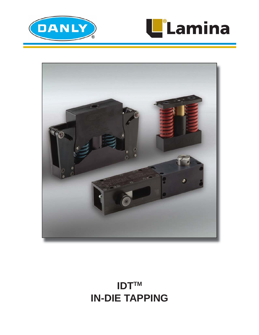





# **IDTTM IN-DIE TAPPING**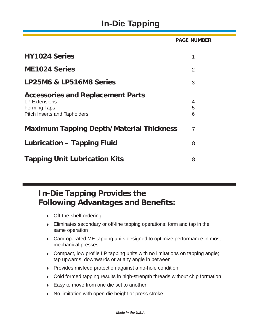# **In-Die Tapping**

**HY1024 Series** 1 **ME1024 Series** 2 **LP25M6 & LP516M8 Series** 3 **Accessories and Replacement Parts** LP Extensions 4 Forming Taps 5 Pitch Inserts and Tapholders 6 **Maximum Tapping Depth/Material Thickness** 7 **Lubrication – Tapping Fluid** 8 **Tapping Unit Lubrication Kits** 8 **PAGE NUMBER**

## **In-Die Tapping Provides the Following Advantages and Benefits:**

- Off-the-shelf ordering
- Eliminates secondary or off-line tapping operations; form and tap in the same operation
- Cam-operated ME tapping units designed to optimize performance in most mechanical presses
- $\bullet$  Compact, low profile LP tapping units with no limitations on tapping angle; tap upwards, downwards or at any angle in between
- Provides misfeed protection against a no-hole condition
- Cold formed tapping results in high-strength threads without chip formation
- ◆ Easy to move from one die set to another
- No limitation with open die height or press stroke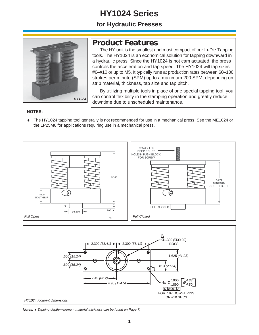# **HY1024 Series**

### **for Hydraulic Presses**



### **Product Features**

 The HY unit is the smallest and most compact of our In-Die Tapping tools. The HY1024 is an economical solution for tapping downward in a hydraulic press. Since the HY1024 is not cam actuated, the press controls the acceleration and tap speed. The HY1024 will tap sizes #0–#10 or up to M5. It typically runs at production rates between 60–100 strokes per minute (SPM) up to a maximum 200 SPM, depending on strip material, thickness, tap size and tap pitch.

 By utilizing multiple tools in place of one special tapping tool, you can control flexibility in the stamping operation and greatly reduce downtime due to unscheduled maintenance.

#### **NOTES:**

 The HY1024 tapping tool generally is not recommended for use in a mechanical press. See the ME1024 or the LP25M6 for applications requiring use in a mechanical press.





*Notes: Tapping depth/maximum material thickness can be found on Page 7.*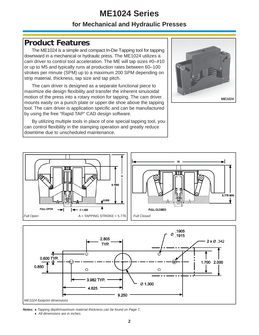## **ME1024 Series**

### **for Mechanical and Hydraulic Presses**

## **Product Features**

 The ME1024 is a simple and compact In-Die Tapping tool for tapping downward in a mechanical or hydraulic press. The ME1024 utilizes a cam driver to control tool acceleration. The ME will tap sizes #0–#10 or up to M5 and typically runs at production rates between 60–100 strokes per minute (SPM) up to a maximum 200 SPM depending on strip material, thickness, tap size and tap pitch.

 The cam driver is designed as a separate functional piece to maximize die design flexibility and transfer the inherent sinusoidal motion of the press into a rotary motion for tapping. The cam driver mounts easily on a punch plate or upper die shoe above the tapping tool. The cam driver is application specific and can be manufactured by using the free "Rapid TAP" CAD design software.

 By utilizing multiple tools in place of one special tapping tool, you can control flexibility in the stamping operation and greatly reduce downtime due to unscheduled maintenance.







*Notes: Tapping depth/maximum material thickness can be found on Page 7.*

 *All dimensions are in inches.*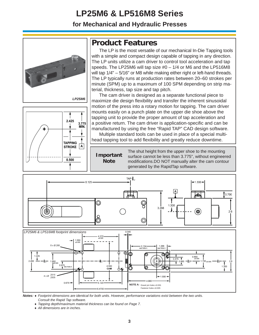# **LP25M6 & LP516M8 Series**

**for Mechanical and Hydraulic Presses**





## **Product Features**

The LP is the most versatile of our mechanical In-Die Tapping tools with a simple and compact design capable of tapping in any direction. The LP units utilize a cam driver to control tool acceleration and tap speeds. The LP25M6 will tap size #0 – 1/4 or M6 and the LP516M8 will tap  $1/4" - 5/16"$  or M8 while making either right or left-hand threads. The LP typically runs at production rates between 20–60 strokes per minute (SPM) up to a maximum of 100 SPM depending on strip material, thickness, tap size and tap pitch.

 The cam driver is designed as a separate functional piece to maximize die design flexibility and transfer the inherent sinusoidal motion of the press into a rotary motion for tapping. The cam driver mounts easily on a punch plate on the upper die shoe above the tapping unit to provide the proper amount of tap acceleration and a positive return. The cam driver is application-specific and can be manufactured by using the free "Rapid TAP" CAD design software. Multiple standard tools can be used in place of a special multi-

head tapping tool to add flexibility and greatly reduce downtime.

**Important Note**

The shut height from the upper shoe to the mounting surface cannot be less than 3.775", without engineered modifications.DO NOT manually alter the cam contour generated by the RapidTap software.





*Notes: Footprint dimensions are identical for both units. However, performance variations exist between the two units. Consult the Rapid Tap software.*

 *Tapping depth/maximum material thickness can be found on Page 7.*

 *All dimensions are in inches.*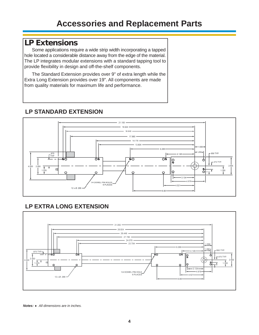## **LP Extensions**

Some applications require a wide strip width incorporating a tapped hole located a considerable distance away from the edge of the material. The LP integrates modular extensions with a standard tapping tool to provide flexibility in design and off-the-shelf components.

The Standard Extension provides over 9" of extra length while the Extra Long Extension provides over 19". All components are made from quality materials for maximum life and performance.



### **LP STANDARD EXTENSION**

### **LP EXTRA LONG EXTENSION**



*Notes: All dimensions are in inches.*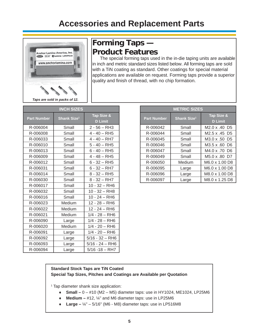

## **Forming Taps — Product Features**

The special forming taps used in the in-die taping units are available in inch and metric standard sizes listed below. All forming taps are sold with a TiN coating as standard. Other coatings for special material applications are available on request. Forming taps provide a superior quality and finish of thread, with no chip formation.

| <b>INCH SIZES</b>  |                         |                              |  |
|--------------------|-------------------------|------------------------------|--|
| <b>Part Number</b> | Shank Size <sup>1</sup> |                              |  |
|                    |                         | <b>D</b> Limit               |  |
| R-006004           | Small                   | $2 - 56 - RHS$               |  |
| R-006008           | Small                   | $4 - 40 - RHS$               |  |
| R-006033           | Small                   | $4 - 40 - R$ H7              |  |
| R-006010           | Small                   | $5 - 40 - RHS$               |  |
| R-006013           | Small                   | $6 - 40 - RHS$               |  |
| R-006009           | Small                   | $4 - 48 - RHS$               |  |
| R-006012           | Small                   | $6 - 32 - R$ H5              |  |
| R-006031           | Small                   | $6 - 32 - R$ H7              |  |
| R-006014           | Small                   | $8 - 32 - RHS$               |  |
| R-006030           | Small                   | $8 - 32 - R$ H7              |  |
| R-006017           | Small                   | 10 - 32 - RH6                |  |
| R-006032           | Small                   | $10 - 32 - RHS$              |  |
| R-006016           | Small                   | $10 - 24 - R$ H <sub>6</sub> |  |
| R-006023           | Medium                  | $12 - 28 - R$ H6             |  |
| R-006022           | Medium                  | $12 - 24 - R$ H6             |  |
| R-006021           | Medium                  | $1/4 - 28 - RH6$             |  |
| R-006090           | Large                   | $1/4 - 28 - RH6$             |  |
| R-006020           | Medium                  | $1/4 - 20 - R$ H6            |  |
| R-006091           | Large                   | $1/4 - 20 - R$ H6            |  |
| R-006092           | Large                   | $5/16 - 32 - R$ H6           |  |
| R-006093           | Large                   | $5/16 - 24 - R$ H6           |  |
| R-006094           | Large                   | $5/16 - 18 - R$ H7           |  |

| <b>METRIC SIZES</b> |                         |                                       |  |
|---------------------|-------------------------|---------------------------------------|--|
| <b>Part Number</b>  | Shank Size <sup>1</sup> | Tap Size &<br><b>D</b> Limit          |  |
| R-006042            | Small                   | M <sub>2.0</sub> x .40 D <sub>5</sub> |  |
| R-006044            | Small                   | M2.5 x .45 D5                         |  |
| R-006045            | Small                   | M3.0 x .50 D5                         |  |
| R-006046            | Small                   | M3.5 x .60 D6                         |  |
| R-006047            | Small                   | M4.0 x .70 D6                         |  |
| R-006049            | Small                   | M5.0 x .80 D7                         |  |
| R-006050            | Medium                  | M6.0 x 1.00 D8                        |  |
| R-006095            | Large                   | M6.0 x 1.00 D8                        |  |
| R-006096            | Large                   | M8.0 x 1.00 D8                        |  |
| R-006097            | Large                   | M8.0 x 1.25 D8                        |  |

#### **Standard Stock Taps are TiN Coated Special Tap Sizes, Pitches and Coatings are Available per Quotation**

1 Tap diameter shank size application:

- ◆ Small 0 #10 (M2 M5) diameter taps: use in HY1024, ME1024, LP25M6
- **Medium –** #12, ¼" and M6 diameter taps: use in LP25M6
- **Large –** ¼" 5/16" (M6 M8) diameter taps: use in LP516M8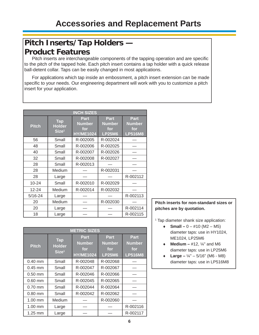## **Pitch Inserts/Tap Holders — Product Features**

Pitch inserts are interchangeable components of the tapping operation and are specific to the pitch of the tapped hole. Each pitch insert contains a tap holder with a quick release ball-detent collar. Taps can be easily changed in most applications.

For applications which tap inside an embossment, a pitch insert extension can be made specific to your needs. Our engineering department will work with you to customize a pitch insert for your application.

| <b>INCH SIZES</b> |                                                  |                                                         |                                                      |                                                       |
|-------------------|--------------------------------------------------|---------------------------------------------------------|------------------------------------------------------|-------------------------------------------------------|
| <b>Pitch</b>      | <b>Tap</b><br><b>Holder</b><br>Size <sup>1</sup> | <b>Part</b><br><b>Number</b><br>for<br><b>HY/ME1024</b> | <b>Part</b><br><b>Number</b><br>for<br><b>LP25M6</b> | <b>Part</b><br><b>Number</b><br>for<br><b>LP516M8</b> |
| 56                | Small                                            | R-002005                                                | R-002024                                             |                                                       |
| 48                | Small                                            | R-002006                                                | R-002025                                             |                                                       |
| 40                | Small                                            | R-002007                                                | R-002026                                             |                                                       |
| 32                | Small                                            | R-002008                                                | R-002027                                             |                                                       |
| 28                | Small                                            | R-002013                                                |                                                      |                                                       |
| 28                | Medium                                           |                                                         | R-002031                                             |                                                       |
| 28                | Large                                            |                                                         |                                                      | R-002112                                              |
| 10-24             | Small                                            | R-002010                                                | R-002029                                             |                                                       |
| $12 - 24$         | Medium                                           | R-002014                                                | R-002032                                             |                                                       |
| $5/16 - 24$       | Large                                            |                                                         |                                                      | R-002113                                              |
| 20                | Medium                                           |                                                         | R-002030                                             |                                                       |
| 20                | Large                                            |                                                         |                                                      | R-002114                                              |
| 18                | Large                                            |                                                         |                                                      | R-002115                                              |

| <b>METRIC SIZES</b> |                                                  |                                                  |                                               |                                                |
|---------------------|--------------------------------------------------|--------------------------------------------------|-----------------------------------------------|------------------------------------------------|
| <b>Pitch</b>        | <b>Tap</b><br><b>Holder</b><br>Size <sup>1</sup> | Part<br><b>Number</b><br>for<br><b>HY/ME1024</b> | Part<br><b>Number</b><br>for<br><b>LP25M6</b> | Part<br><b>Number</b><br>for<br><b>LP516M8</b> |
| $0.40$ mm           | Small                                            | R-002048                                         | R-002068                                      |                                                |
| $0.45$ mm           | Small                                            | R-002047                                         | R-002067                                      |                                                |
| $0.50$ mm           | Small                                            | R-002046                                         | R-002066                                      |                                                |
| $0.60$ mm           | Small                                            | R-002045                                         | R-002065                                      |                                                |
| $0.70$ mm           | Small                                            | R-002044                                         | R-002064                                      |                                                |
| $0.80$ mm           | Small                                            | R-002042                                         | R-002062                                      |                                                |
| 1.00 mm             | Medium                                           |                                                  | R-002060                                      |                                                |
| 1.00 mm             | Large                                            |                                                  |                                               | R-002116                                       |
| $1.25$ mm           | Large                                            |                                                  |                                               | R-002117                                       |

#### **Pitch inserts for non-standard sizes or pitches are by quotation.**

1 Tap diameter shank size application:

- **Small**  $-0 #10$  (M2  $-$  M5) diameter taps: use in HY1024, ME1024, LP25M6
- $\bullet$  **Medium** #12,  $\frac{1}{4}$  and M6 diameter taps: use in LP25M6
- **Large –** ¼" 5/16" (M6 M8) diameter taps: use in LP516M8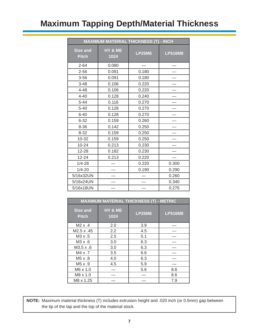# **Maximum Tapping Depth/Material Thickness**

| <b>MAXIMUM MATERIAL THICKNESS (T) - INCH</b> |                 |               |                |
|----------------------------------------------|-----------------|---------------|----------------|
| <b>Size and</b><br><b>Pitch</b>              | HY & ME<br>1024 | <b>LP25M6</b> | <b>LP516M8</b> |
| $2 - 64$                                     | 0.080           |               |                |
| $2 - 56$                                     | 0.091           | 0.180         |                |
| $3 - 56$                                     | 0.091           | 0.180         |                |
| $3 - 48$                                     | 0.106           | 0.220         |                |
| $4 - 48$                                     | 0.106           | 0.220         |                |
| $4 - 40$                                     | 0.128           | 0.240         |                |
| $5 - 44$                                     | 0.116           | 0.270         |                |
| $5 - 40$                                     | 0.128           | 0.270         |                |
| $6 - 40$                                     | 0.128           | 0.270         |                |
| $6 - 32$                                     | 0.159           | 0.260         |                |
| $8 - 36$                                     | 0.142           | 0.250         |                |
| $8 - 32$                                     | 0.159           | 0.250         |                |
| 10-32                                        | 0.159           | 0.250         |                |
| $10 - 24$                                    | 0.213           | 0.230         |                |
| 12-28                                        | 0.182           | 0.230         |                |
| $12 - 24$                                    | 0.213           | 0.220         |                |
| $1/4 - 28$                                   |                 | 0.220         | 0.300          |
| $1/4 - 20$                                   |                 | 0.190         | 0.290          |
| 5/16x32UN                                    |                 |               | 0.260          |
| 5/16x24UN                                    |                 |               | 0.340          |
| 5/16x18UN                                    |                 |               | 0.275          |

| <b>MAXIMUM MATERIAL THICKNESS (T) - METRIC</b> |                 |               |                |
|------------------------------------------------|-----------------|---------------|----------------|
| <b>Size and</b><br><b>Pitch</b>                | HY & ME<br>1024 | <b>LP25M6</b> | <b>LP516M8</b> |
| $M2 \times .4$                                 | 2.0             | 3.9           |                |
| M2.5 x .45                                     | 2.2             | 4.5           |                |
| $M3 \times .5$                                 | 2.5             | 5.1           |                |
| M3 x .6                                        | 3.0             | 6.3           |                |
| $M3.5 \times .6$                               | 3.0             | 6.3           |                |
| $M4 \times .7$                                 | 3.5             | 6.6           |                |
| $M5 \times .8$                                 | 4.0             | 6.3           |                |
| $M5 \times .9$                                 | 4.5             | 5.9           |                |
| M6 x 1.0                                       |                 | 5.6           | 8.6            |
| M8 x 1.0                                       |                 |               | 8.6            |
| M8 x 1.25                                      |                 |               | 7.9            |

**NOTE:** Maximum material thickness (T) includes extrusion height and .020 inch (or 0.5mm) gap between the tip of the tap and the top of the material stock.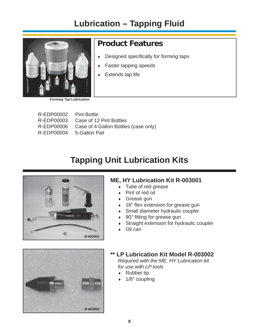# **Lubrication – Tapping Fluid**



## **Product Features**

- $\leftarrow$  Designed specifically for forming taps
- Faster tapping speeds
- Extends tap life

*Forming Tap Lubrication*

 R-EDP00002 Pint Bottle R-EDP00003 Case of 12 Pint Bottles R-EDP00006 Case of 4 Gallon Bottles (case only) R-EDP00004 5-Gallon Pail

# **Tapping Unit Lubrication Kits**



### **ME, HY Lubrication Kit R-003001**

- Tube of red grease
- Pint of red oil
- Grease gun
- $\cdot$  18" flex extension for grease gun
- Small diameter hydraulic coupler
- 90° fitting for grease gun
- Straight extension for hydraulic coupler
- Oil can



#### **\*\* LP Lubrication Kit Model R-003002**  *Required with the ME, HY Lubrication kit for use with LP tools*

- ◆ Rubber tip
- $\cdot$  1/8" coupling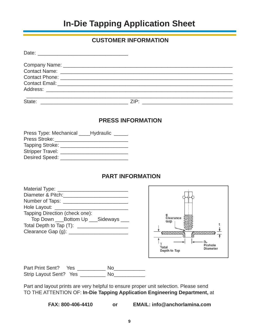## **In-Die Tapping Application Sheet**

#### **CUSTOMER INFORMATION**

| State: | ZIP: |  |
|--------|------|--|

#### **PRESS INFORMATION**

| Press Type: Mechanical _____ Hydraulic |  |  |
|----------------------------------------|--|--|
| Press Stroke:                          |  |  |
| Tapping Stroke:                        |  |  |
| <b>Stripper Travel:</b>                |  |  |
| <b>Desired Speed:</b>                  |  |  |

### **PART INFORMATION**

| Material Type: _               |
|--------------------------------|
| Diameter & Pitch:              |
| Number of Taps: ___            |
| Hole Layout:                   |
| Tapping Direction (check one): |
| Top Down Bottom Up Sideways    |
| Total Depth to Tap (T):        |
| Clearance Gap (g):             |
|                                |



| Part Print Sent? Yes   | N٥ |
|------------------------|----|
| Strip Layout Sent? Yes | Nο |

Part and layout prints are very helpful to ensure proper unit selection. Please send TO THE ATTENTION OF: **In-Die Tapping Application Engineering Department,** at

 **FAX: 800-406-4410 or EMAIL: info@anchorlamina.com**